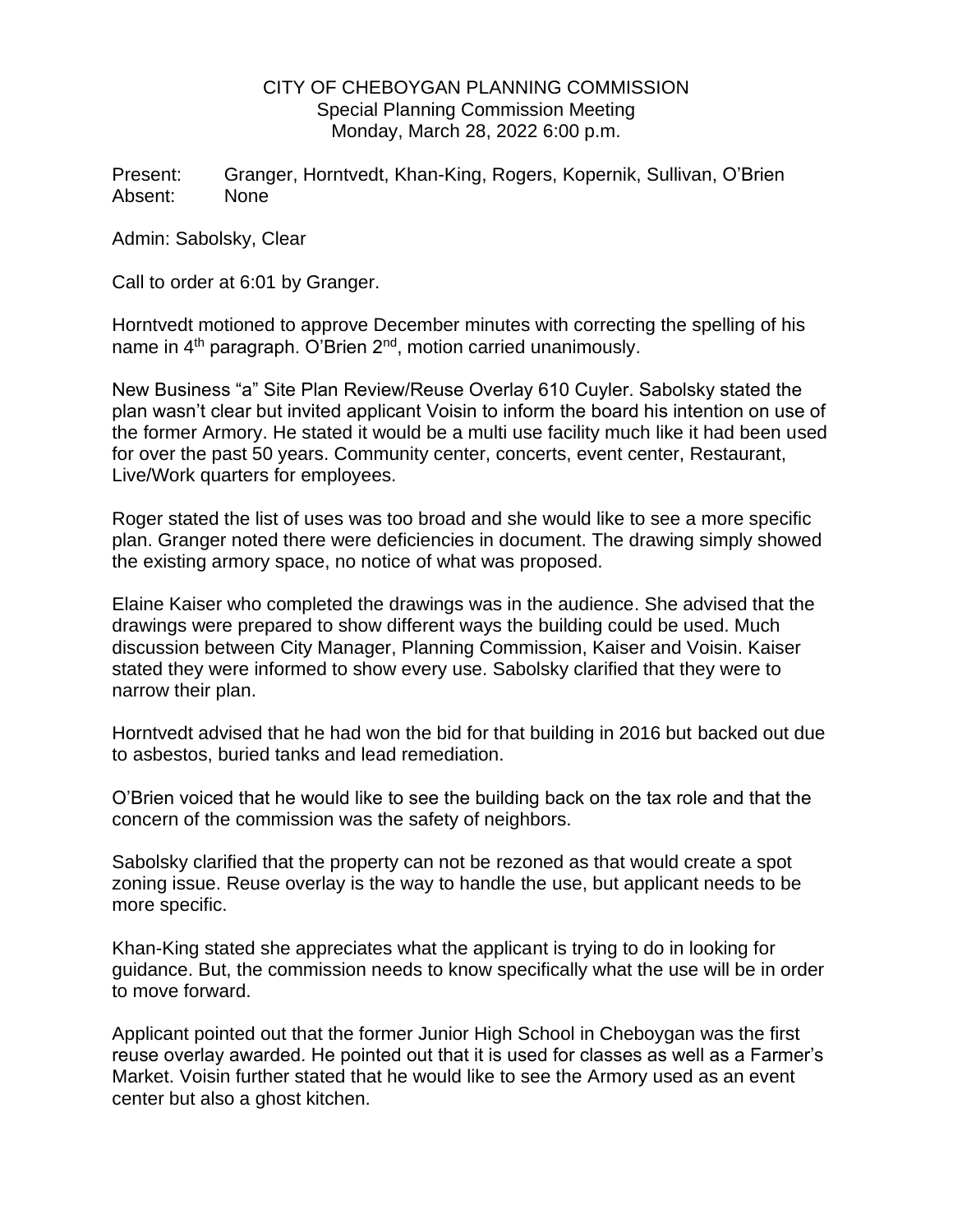## CITY OF CHEBOYGAN PLANNING COMMISSION Special Planning Commission Meeting Monday, March 28, 2022 6:00 p.m.

Present: Granger, Horntvedt, Khan-King, Rogers, Kopernik, Sullivan, O'Brien Absent: None

Admin: Sabolsky, Clear

Call to order at 6:01 by Granger.

Horntvedt motioned to approve December minutes with correcting the spelling of his name in 4<sup>th</sup> paragraph. O'Brien 2<sup>nd</sup>, motion carried unanimously.

New Business "a" Site Plan Review/Reuse Overlay 610 Cuyler. Sabolsky stated the plan wasn't clear but invited applicant Voisin to inform the board his intention on use of the former Armory. He stated it would be a multi use facility much like it had been used for over the past 50 years. Community center, concerts, event center, Restaurant, Live/Work quarters for employees.

Roger stated the list of uses was too broad and she would like to see a more specific plan. Granger noted there were deficiencies in document. The drawing simply showed the existing armory space, no notice of what was proposed.

Elaine Kaiser who completed the drawings was in the audience. She advised that the drawings were prepared to show different ways the building could be used. Much discussion between City Manager, Planning Commission, Kaiser and Voisin. Kaiser stated they were informed to show every use. Sabolsky clarified that they were to narrow their plan.

Horntvedt advised that he had won the bid for that building in 2016 but backed out due to asbestos, buried tanks and lead remediation.

O'Brien voiced that he would like to see the building back on the tax role and that the concern of the commission was the safety of neighbors.

Sabolsky clarified that the property can not be rezoned as that would create a spot zoning issue. Reuse overlay is the way to handle the use, but applicant needs to be more specific.

Khan-King stated she appreciates what the applicant is trying to do in looking for guidance. But, the commission needs to know specifically what the use will be in order to move forward.

Applicant pointed out that the former Junior High School in Cheboygan was the first reuse overlay awarded. He pointed out that it is used for classes as well as a Farmer's Market. Voisin further stated that he would like to see the Armory used as an event center but also a ghost kitchen.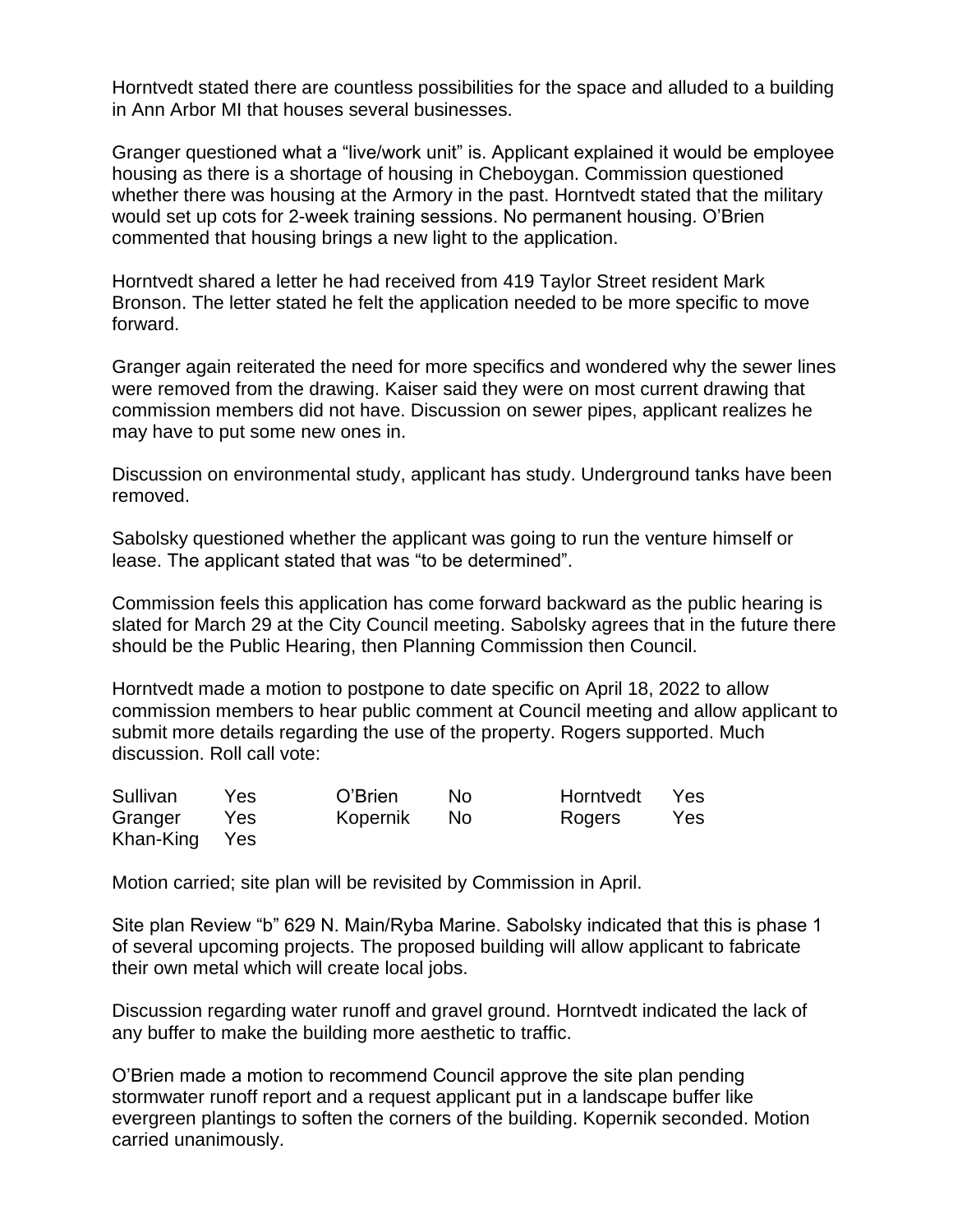Horntvedt stated there are countless possibilities for the space and alluded to a building in Ann Arbor MI that houses several businesses.

Granger questioned what a "live/work unit" is. Applicant explained it would be employee housing as there is a shortage of housing in Cheboygan. Commission questioned whether there was housing at the Armory in the past. Horntvedt stated that the military would set up cots for 2-week training sessions. No permanent housing. O'Brien commented that housing brings a new light to the application.

Horntvedt shared a letter he had received from 419 Taylor Street resident Mark Bronson. The letter stated he felt the application needed to be more specific to move forward.

Granger again reiterated the need for more specifics and wondered why the sewer lines were removed from the drawing. Kaiser said they were on most current drawing that commission members did not have. Discussion on sewer pipes, applicant realizes he may have to put some new ones in.

Discussion on environmental study, applicant has study. Underground tanks have been removed.

Sabolsky questioned whether the applicant was going to run the venture himself or lease. The applicant stated that was "to be determined".

Commission feels this application has come forward backward as the public hearing is slated for March 29 at the City Council meeting. Sabolsky agrees that in the future there should be the Public Hearing, then Planning Commission then Council.

Horntvedt made a motion to postpone to date specific on April 18, 2022 to allow commission members to hear public comment at Council meeting and allow applicant to submit more details regarding the use of the property. Rogers supported. Much discussion. Roll call vote:

| Sullivan      | Yes | O'Brien  | No.  | Horntvedt | Yes |
|---------------|-----|----------|------|-----------|-----|
| Granger       | Yes | Kopernik | - No | Rogers    | Yes |
| Khan-King Yes |     |          |      |           |     |

Motion carried; site plan will be revisited by Commission in April.

Site plan Review "b" 629 N. Main/Ryba Marine. Sabolsky indicated that this is phase 1 of several upcoming projects. The proposed building will allow applicant to fabricate their own metal which will create local jobs.

Discussion regarding water runoff and gravel ground. Horntvedt indicated the lack of any buffer to make the building more aesthetic to traffic.

O'Brien made a motion to recommend Council approve the site plan pending stormwater runoff report and a request applicant put in a landscape buffer like evergreen plantings to soften the corners of the building. Kopernik seconded. Motion carried unanimously.